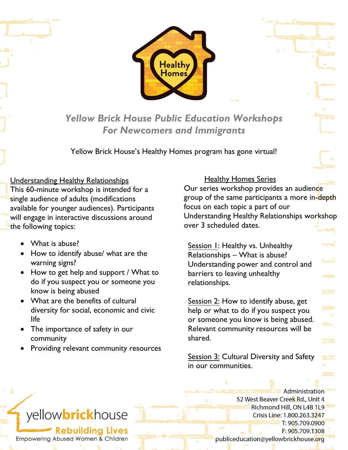

*Yellow Brick House Public Education Workshops For Newcomers and Immigrants*

Yellow Brick House's Healthy Homes program has gone virtual!

## **Understanding Healthy Relationships**

This 60-minute workshop is intended for a single audience of adults (modifications available for younger audiences). Participants will engage in interactive discussions around the following topics:

- What is abuse?
- How to identify abuse/ what are the warning signs?
- How to get help and support / What to do if you suspect you or someone you know is being abused
- What are the benefits of cultural diversity for social, economic and civic life
- The importance of safety in our community
- Providing relevant community resources

## Healthy Homes Series

Our series workshop provides an audience group of the same participants a more in-depth focus on each topic a part of our Understanding Healthy Relationships workshop over 3 scheduled dates.

Session 1: Healthy vs. Unhealthy Relationships – What is abuse? Understanding power and control and barriers to leaving unhealthy relationships.

Session 2: How to identify abuse, get help or what to do if you suspect you or someone you know is being abused. Relevant community resources will be shared.

Session 3: Cultural Diversity and Safety in our communities.

> Administration 52 West Beaver Creek Rd., Unit 4 Richmond Hill, ON L4B 1L9 Crisis Line: 1.800.263.3247 T: 905.709.0900 F: 905.709.1308 publiceducation@yellowbrickhouse.org

## yellowbrickhouse

**Rebuilding Lives** Empowering Abused Women & Children